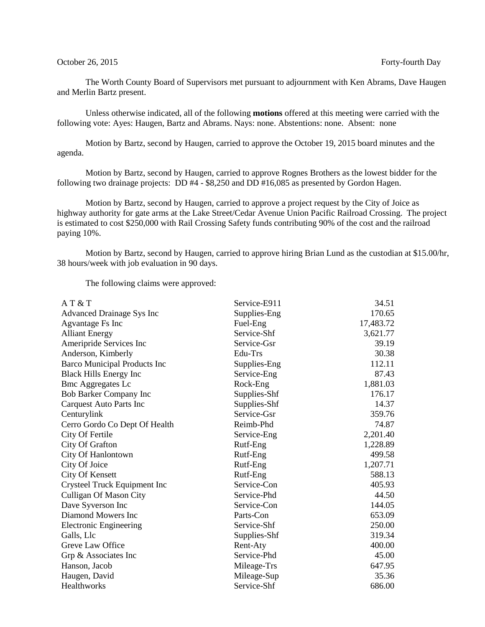The Worth County Board of Supervisors met pursuant to adjournment with Ken Abrams, Dave Haugen and Merlin Bartz present.

Unless otherwise indicated, all of the following **motions** offered at this meeting were carried with the following vote: Ayes: Haugen, Bartz and Abrams. Nays: none. Abstentions: none. Absent: none

Motion by Bartz, second by Haugen, carried to approve the October 19, 2015 board minutes and the agenda.

Motion by Bartz, second by Haugen, carried to approve Rognes Brothers as the lowest bidder for the following two drainage projects: DD #4 - \$8,250 and DD #16,085 as presented by Gordon Hagen.

Motion by Bartz, second by Haugen, carried to approve a project request by the City of Joice as highway authority for gate arms at the Lake Street/Cedar Avenue Union Pacific Railroad Crossing. The project is estimated to cost \$250,000 with Rail Crossing Safety funds contributing 90% of the cost and the railroad paying 10%.

Motion by Bartz, second by Haugen, carried to approve hiring Brian Lund as the custodian at \$15.00/hr, 38 hours/week with job evaluation in 90 days.

The following claims were approved:

| AT & T                         | Service-E911 | 34.51     |
|--------------------------------|--------------|-----------|
| Advanced Drainage Sys Inc      | Supplies-Eng | 170.65    |
| Agvantage Fs Inc               | Fuel-Eng     | 17,483.72 |
| <b>Alliant Energy</b>          | Service-Shf  | 3,621.77  |
| Ameripride Services Inc        | Service-Gsr  | 39.19     |
| Anderson, Kimberly             | Edu-Trs      | 30.38     |
| Barco Municipal Products Inc   | Supplies-Eng | 112.11    |
| <b>Black Hills Energy Inc</b>  | Service-Eng  | 87.43     |
| <b>Bmc Aggregates Lc</b>       | Rock-Eng     | 1,881.03  |
| Bob Barker Company Inc         | Supplies-Shf | 176.17    |
| <b>Carquest Auto Parts Inc</b> | Supplies-Shf | 14.37     |
| Centurylink                    | Service-Gsr  | 359.76    |
| Cerro Gordo Co Dept Of Health  | Reimb-Phd    | 74.87     |
| City Of Fertile                | Service-Eng  | 2,201.40  |
| City Of Grafton                | Rutf-Eng     | 1,228.89  |
| City Of Hanlontown             | Rutf-Eng     | 499.58    |
| City Of Joice                  | Rutf-Eng     | 1,207.71  |
| City Of Kensett                | Rutf-Eng     | 588.13    |
| Crysteel Truck Equipment Inc   | Service-Con  | 405.93    |
| <b>Culligan Of Mason City</b>  | Service-Phd  | 44.50     |
| Dave Syverson Inc              | Service-Con  | 144.05    |
| Diamond Mowers Inc             | Parts-Con    | 653.09    |
| Electronic Engineering         | Service-Shf  | 250.00    |
| Galls, Llc                     | Supplies-Shf | 319.34    |
| Greve Law Office               | Rent-Aty     | 400.00    |
| Grp & Associates Inc           | Service-Phd  | 45.00     |
| Hanson, Jacob                  | Mileage-Trs  | 647.95    |
| Haugen, David                  | Mileage-Sup  | 35.36     |
| Healthworks                    | Service-Shf  | 686.00    |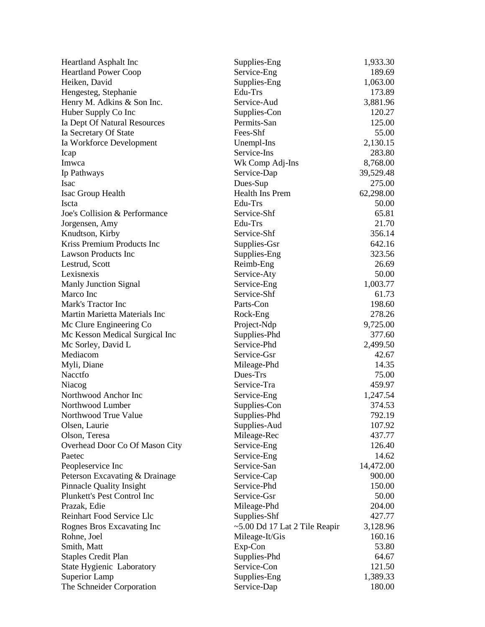| <b>Heartland Asphalt Inc</b>    | Supplies-Eng                        | 1,933.30  |
|---------------------------------|-------------------------------------|-----------|
| <b>Heartland Power Coop</b>     | Service-Eng                         | 189.69    |
| Heiken, David                   | Supplies-Eng                        | 1,063.00  |
| Hengesteg, Stephanie            | Edu-Trs                             | 173.89    |
| Henry M. Adkins & Son Inc.      | Service-Aud                         | 3,881.96  |
| Huber Supply Co Inc             | Supplies-Con                        | 120.27    |
| Ia Dept Of Natural Resources    | Permits-San                         | 125.00    |
| Ia Secretary Of State           | Fees-Shf                            | 55.00     |
| Ia Workforce Development        | Unempl-Ins                          | 2,130.15  |
| Icap                            | Service-Ins                         | 283.80    |
| Imwca                           | Wk Comp Adj-Ins                     | 8,768.00  |
| Ip Pathways                     | Service-Dap                         | 39,529.48 |
| <b>Isac</b>                     | Dues-Sup                            | 275.00    |
| Isac Group Health               | Health Ins Prem                     | 62,298.00 |
| Iscta                           | Edu-Trs                             | 50.00     |
| Joe's Collision & Performance   | Service-Shf                         | 65.81     |
| Jorgensen, Amy                  | Edu-Trs                             | 21.70     |
| Knudtson, Kirby                 | Service-Shf                         | 356.14    |
| Kriss Premium Products Inc      | Supplies-Gsr                        | 642.16    |
| <b>Lawson Products Inc</b>      | Supplies-Eng                        | 323.56    |
| Lestrud, Scott                  | Reimb-Eng                           | 26.69     |
| Lexisnexis                      | Service-Aty                         | 50.00     |
| <b>Manly Junction Signal</b>    | Service-Eng                         | 1,003.77  |
| Marco Inc                       | Service-Shf                         | 61.73     |
| Mark's Tractor Inc              | Parts-Con                           | 198.60    |
| Martin Marietta Materials Inc   | Rock-Eng                            | 278.26    |
| Mc Clure Engineering Co         | Project-Ndp                         | 9,725.00  |
| Mc Kesson Medical Surgical Inc  | Supplies-Phd                        | 377.60    |
| Mc Sorley, David L              | Service-Phd                         | 2,499.50  |
| Mediacom                        | Service-Gsr                         | 42.67     |
| Myli, Diane                     |                                     | 14.35     |
| Nacctfo                         | Mileage-Phd<br>Dues-Trs             | 75.00     |
|                                 |                                     |           |
| Niacog<br>Northwood Anchor Inc  | Service-Tra                         | 459.97    |
|                                 | Service-Eng                         | 1,247.54  |
| Northwood Lumber                | Supplies-Con                        | 374.53    |
| Northwood True Value            | Supplies-Phd                        | 792.19    |
| Olsen, Laurie                   | Supplies-Aud                        | 107.92    |
| Olson, Teresa                   | Mileage-Rec                         | 437.77    |
| Overhead Door Co Of Mason City  | Service-Eng                         | 126.40    |
| Paetec                          | Service-Eng                         | 14.62     |
| Peopleservice Inc               | Service-San                         | 14,472.00 |
| Peterson Excavating & Drainage  | Service-Cap                         | 900.00    |
| <b>Pinnacle Quality Insight</b> | Service-Phd                         | 150.00    |
| Plunkett's Pest Control Inc     | Service-Gsr                         | 50.00     |
| Prazak, Edie                    | Mileage-Phd                         | 204.00    |
| Reinhart Food Service Llc       | Supplies-Shf                        | 427.77    |
| Rognes Bros Excavating Inc      | $\sim$ 5.00 Dd 17 Lat 2 Tile Reapir | 3,128.96  |
| Rohne, Joel                     | Mileage-It/Gis                      | 160.16    |
| Smith, Matt                     | Exp-Con                             | 53.80     |
| <b>Staples Credit Plan</b>      | Supplies-Phd                        | 64.67     |
| State Hygienic Laboratory       | Service-Con                         | 121.50    |
| <b>Superior Lamp</b>            | Supplies-Eng                        | 1,389.33  |
| The Schneider Corporation       | Service-Dap                         | 180.00    |